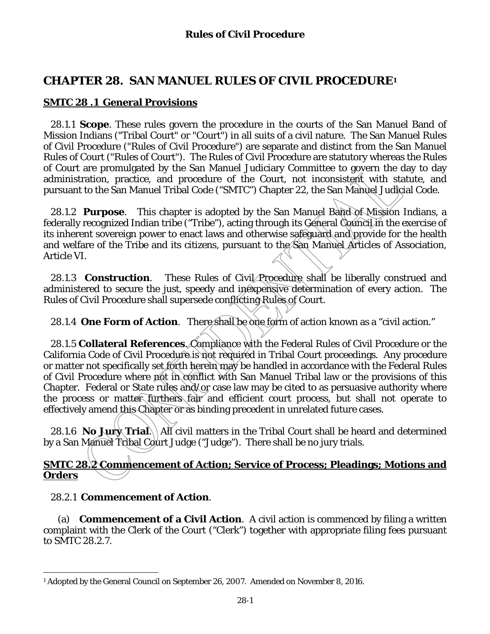# **CHAPTER 28. SAN MANUEL RULES OF CIVIL PROCEDURE1**

## **SMTC 28 .1 General Provisions**

 28.1.1 **Scope**. These rules govern the procedure in the courts of the San Manuel Band of Mission Indians ("Tribal Court" or "Court") in all suits of a civil nature. The San Manuel Rules of Civil Procedure ("Rules of Civil Procedure") are separate and distinct from the San Manuel Rules of Court ("Rules of Court"). The Rules of Civil Procedure are statutory whereas the Rules of Court are promulgated by the San Manuel Judiciary Committee to govern the day to day administration, practice, and procedure of the Court, not inconsistent with statute, and pursuant to the San Manuel Tribal Code ("SMTC") Chapter 22, the San Manuel Judicial Code.

28.1.2 **Purpose**. This chapter is adopted by the San Manuel Band of Mission Indians, a federally recognized Indian tribe ("Tribe"), acting through its General Council in the exercise of its inherent sovereign power to enact laws and otherwise safeguard and provide for the health and welfare of the Tribe and its citizens, pursuant to the San Manuel Articles of Association, Article VI.

28.1.3 **Construction**. These Rules of Civil Procedure shall be liberally construed and administered to secure the just, speedy and inexpensive determination of every action. The Rules of Civil Procedure shall supersede conflicting Rules of Court.

28.1.4 **One Form of Action.** There shall be one form of action known as a "civil action."

28.1.5 **Collateral References**. Compliance with the Federal Rules of Civil Procedure or the California Code of Civil Procedure is not required in Tribal Court proceedings. Any procedure or matter not specifically set forth herein may be handled in accordance with the Federal Rules of Civil Procedure where not in conflict with San Manuel Tribal law or the provisions of this Chapter. Federal or State rules and/or case law may be cited to as persuasive authority where the process or matter furthers fair and efficient court process, but shall not operate to effectively amend this Chapter or as binding precedent in unrelated future cases.

28.1.6 **No Jury Trial**. All civil matters in the Tribal Court shall be heard and determined by a San Manuel Tribal Court Judge ("Judge"). There shall be no jury trials.

### **SMTC 28.2 Commencement of Action; Service of Process; Pleadings; Motions and Orders**

### 28.2.1 **Commencement of Action**.

(a) **Commencement of a Civil Action**. A civil action is commenced by filing a written complaint with the Clerk of the Court ("Clerk") together with appropriate filing fees pursuant to SMTC 28.2.7.

 $\overline{a}$ 1 Adopted by the General Council on September 26, 2007. Amended on November 8, 2016.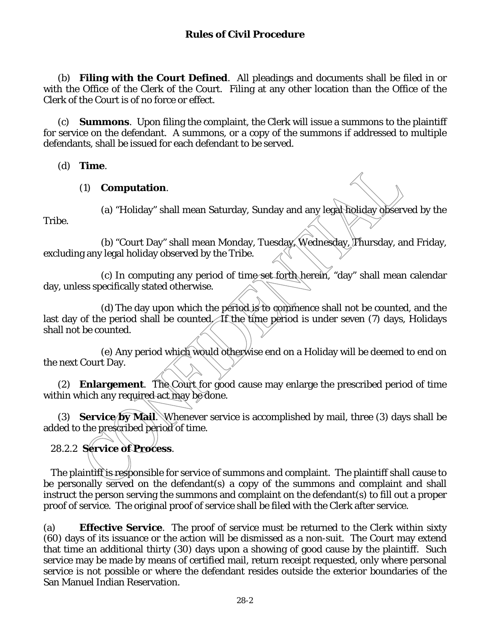(b) **Filing with the Court Defined**. All pleadings and documents shall be filed in or with the Office of the Clerk of the Court. Filing at any other location than the Office of the Clerk of the Court is of no force or effect.

(c) **Summons**. Upon filing the complaint, the Clerk will issue a summons to the plaintiff for service on the defendant. A summons, or a copy of the summons if addressed to multiple defendants, shall be issued for each defendant to be served.

(d) **Time**.

#### (1) **Computation**.

Tribe.

(a) "Holiday" shall mean Saturday, Sunday and any legal holiday observed by the

(b) "Court Day" shall mean Monday, Tuesday, Wednesday, Thursday, and Friday, excluding any legal holiday observed by the Tribe.

(c) In computing any period of time set forth herein, "day" shall mean calendar day, unless specifically stated otherwise.

(d) The day upon which the period is to commence shall not be counted, and the last day of the period shall be counted. If the time period is under seven (7) days, Holidays shall not be counted.

(e) Any period which would otherwise end on a Holiday will be deemed to end on the next Court Day.

(2) **Enlargement**. The Court for good cause may enlarge the prescribed period of time within which any required act may be done.

(3) **Service/by Mail.** Whenever service is accomplished by mail, three (3) days shall be added to the prescribed period of time.

28.2.2 **Service of Process**.

The plaintiff is responsible for service of summons and complaint. The plaintiff shall cause to be personally served on the defendant(s) a copy of the summons and complaint and shall instruct the person serving the summons and complaint on the defendant(s) to fill out a proper proof of service. The original proof of service shall be filed with the Clerk after service.

(a) **Effective Service**. The proof of service must be returned to the Clerk within sixty (60) days of its issuance or the action will be dismissed as a non-suit. The Court may extend that time an additional thirty (30) days upon a showing of good cause by the plaintiff. Such service may be made by means of certified mail, return receipt requested, only where personal service is not possible or where the defendant resides outside the exterior boundaries of the San Manuel Indian Reservation.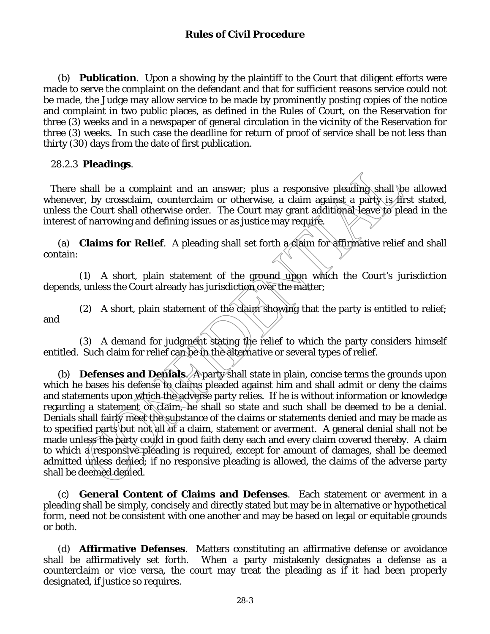(b) **Publication**. Upon a showing by the plaintiff to the Court that diligent efforts were made to serve the complaint on the defendant and that for sufficient reasons service could not be made, the Judge may allow service to be made by prominently posting copies of the notice and complaint in two public places, as defined in the Rules of Court, on the Reservation for three (3) weeks and in a newspaper of general circulation in the vicinity of the Reservation for three (3) weeks. In such case the deadline for return of proof of service shall be not less than thirty (30) days from the date of first publication.

#### 28.2.3 **Pleadings**.

There shall be a complaint and an answer; plus a responsive pleading shall be allowed whenever, by crossclaim, counterclaim or otherwise, a claim against a party is first stated, unless the Court shall otherwise order. The Court may grant additional leave to plead in the interest of narrowing and defining issues or as justice may require.

(a) **Claims for Relief**. A pleading shall set forth a claim for affirmative relief and shall contain:

 (1) A short, plain statement of the ground upon which the Court's jurisdiction depends, unless the Court already has jurisdiction over the matter;

(2) A short, plain statement of the claim showing that the party is entitled to relief; and

 (3) A demand for judgment stating the relief to which the party considers himself entitled. Such claim for relief can be in the alternative or several types of relief.

(b) **Defenses and Denials**. A party shall state in plain, concise terms the grounds upon which he bases his defense to claims pleaded against him and shall admit or deny the claims and statements upon which the adverse party relies. If he is without information or knowledge regarding a statement or claim, he shall so state and such shall be deemed to be a denial. Denials shall fairly meet the substance of the claims or statements denied and may be made as to specified parts but not all of a claim, statement or averment. A general denial shall not be made unless the party could in good faith deny each and every claim covered thereby. A claim to which a responsive pleading is required, except for amount of damages, shall be deemed admitted unless denied; if no responsive pleading is allowed, the claims of the adverse party shall be deemed denied.

(c) **General Content of Claims and Defenses**. Each statement or averment in a pleading shall be simply, concisely and directly stated but may be in alternative or hypothetical form, need not be consistent with one another and may be based on legal or equitable grounds or both.

(d) **Affirmative Defenses**. Matters constituting an affirmative defense or avoidance shall be affirmatively set forth. When a party mistakenly designates a defense as a counterclaim or vice versa, the court may treat the pleading as if it had been properly designated, if justice so requires.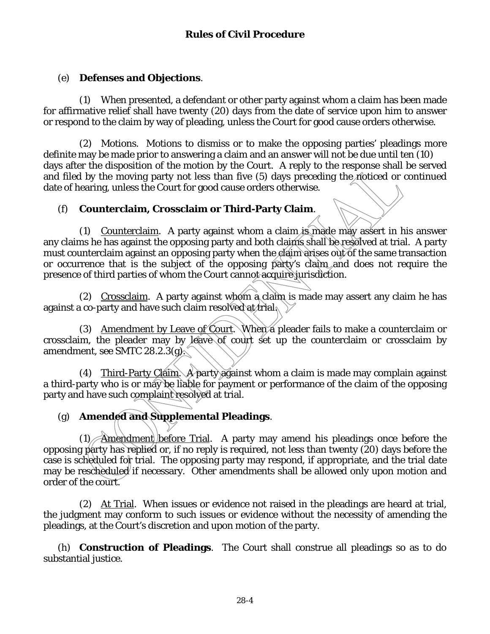## (e) **Defenses and Objections**.

 (1) When presented, a defendant or other party against whom a claim has been made for affirmative relief shall have twenty (20) days from the date of service upon him to answer or respond to the claim by way of pleading, unless the Court for good cause orders otherwise.

 (2) Motions. Motions to dismiss or to make the opposing parties' pleadings more definite may be made prior to answering a claim and an answer will not be due until ten (10) days after the disposition of the motion by the Court. A reply to the response shall be served and filed by the moving party not less than five  $(5)$  days preceding the noticed or continued date of hearing, unless the Court for good cause orders otherwise.

# (f) **Counterclaim, Crossclaim or Third-Party Claim**.

 (1) Counterclaim. A party against whom a claim is made may assert in his answer any claims he has against the opposing party and both claims shall be resolved at trial. A party must counterclaim against an opposing party when the elaim arises out of the same transaction or occurrence that is the subject of the opposing party's claim and does not require the presence of third parties of whom the Court cannot acquire jurisdiction.

 (2) Crossclaim. A party against whom a claim is made may assert any claim he has against a co-party and have such claim resolved at trial.

(3) Amendment by Leave of Court. When a pleader fails to make a counterclaim or crossclaim, the pleader may by leave of court set up the counterclaim or crossclaim by amendment, see SMTC 28.2.3(g).

(4) Third-Party Claim. A party against whom a claim is made may complain against a third-party who is or may be liable for payment or performance of the claim of the opposing party and have such complaint resolved at trial.

# (g) **Amended and Supplemental Pleadings**.

(1) Amendment before Trial. A party may amend his pleadings once before the opposing party has replied or, if no reply is required, not less than twenty (20) days before the case is scheduled for trial. The opposing party may respond, if appropriate, and the trial date may be rescheduled if necessary. Other amendments shall be allowed only upon motion and order of the court.

 (2) At Trial. When issues or evidence not raised in the pleadings are heard at trial, the judgment may conform to such issues or evidence without the necessity of amending the pleadings, at the Court's discretion and upon motion of the party.

 (h) **Construction of Pleadings**. The Court shall construe all pleadings so as to do substantial justice.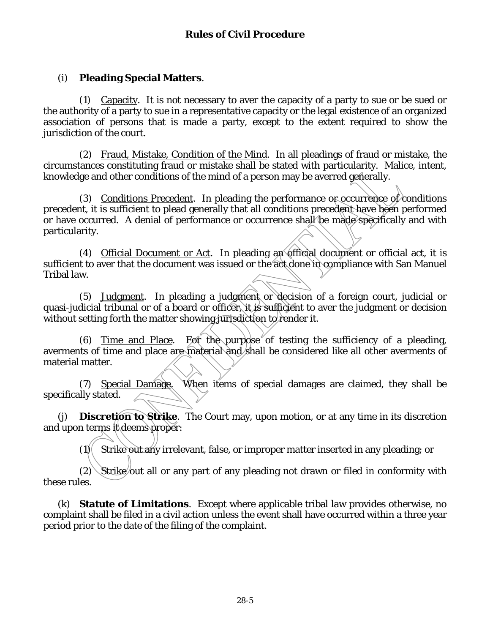## (i) **Pleading Special Matters**.

 (1) Capacity. It is not necessary to aver the capacity of a party to sue or be sued or the authority of a party to sue in a representative capacity or the legal existence of an organized association of persons that is made a party, except to the extent required to show the jurisdiction of the court.

 (2) Fraud, Mistake, Condition of the Mind. In all pleadings of fraud or mistake, the circumstances constituting fraud or mistake shall be stated with particularity. Malice, intent, knowledge and other conditions of the mind of a person may be averred generally.

(3) Conditions Precedent. In pleading the performance or occurrence of conditions precedent, it is sufficient to plead generally that all conditions precedent have been performed or have occurred. A denial of performance or occurrence shall be made specifically and with particularity.

 (4) Official Document or Act. In pleading an official document or official act, it is sufficient to aver that the document was issued or the act done in compliance with San Manuel Tribal law.

 (5) Judgment. In pleading a judgment or decision of a foreign court, judicial or quasi-judicial tribunal or of a board or officer, it is sufficient to aver the judgment or decision without setting forth the matter showing jurisdiction to render it.

(6) Time and Place. For the purpose of testing the sufficiency of a pleading, averments of time and place are material and shall be considered like all other averments of material matter.

 (7) Special Damage. When items of special damages are claimed, they shall be specifically stated.

 (j) **Discretion to Strike**. The Court may, upon motion, or at any time in its discretion and upon terms it deems proper:

 $(1)$  Strike out any irrelevant, false, or improper matter inserted in any pleading; or

 $(2)$  Strike/out all or any part of any pleading not drawn or filed in conformity with these rules.

(k) **Statute of Limitations**. Except where applicable tribal law provides otherwise, no complaint shall be filed in a civil action unless the event shall have occurred within a three year period prior to the date of the filing of the complaint.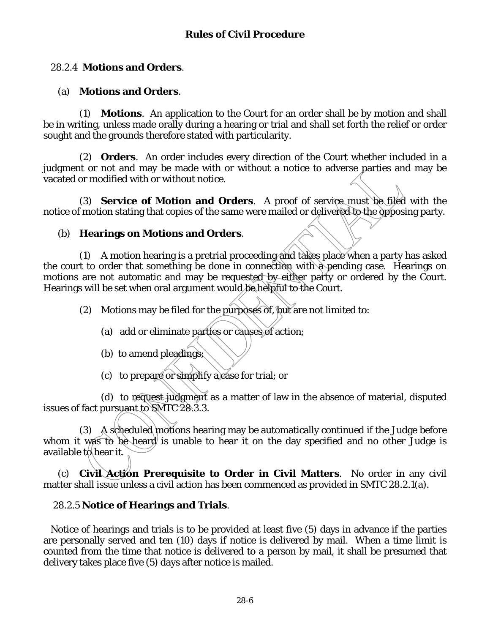## 28.2.4 **Motions and Orders**.

## (a) **Motions and Orders**.

(1) **Motions**. An application to the Court for an order shall be by motion and shall be in writing, unless made orally during a hearing or trial and shall set forth the relief or order sought and the grounds therefore stated with particularity.

(2) **Orders**. An order includes every direction of the Court whether included in a judgment or not and may be made with or without a notice to adverse parties and may be vacated or modified with or without notice.

(3) **Service of Motion and Orders**. A proof of service must be filed with the notice of motion stating that copies of the same were mailed or delivered to the opposing party.

#### (b) **Hearings on Motions and Orders**.

(1) A motion hearing is a pretrial proceeding and takes place when a party has asked the court to order that something be done in connection with a pending case. Hearings on motions are not automatic and may be requested by either party or ordered by the Court. Hearings will be set when oral argument would be helpful to the Court.

(2) Motions may be filed for the purposes of, but are not limited to:

- (a) add or eliminate parties or causes of action;
- (b) to amend pleadings;
- (c) to prepare or simplify a case for trial; or

(d) to request judgment as a matter of law in the absence of material, disputed issues of fact pursuant to SMTC 28.3.3.

(3) A scheduled motions hearing may be automatically continued if the Judge before whom it was to be heard is unable to hear it on the day specified and no other Judge is available t $\phi$  hear it.

(c) **Civil Action Prerequisite to Order in Civil Matters**. No order in any civil matter shall issue unless a civil action has been commenced as provided in SMTC 28.2.1(a).

### 28.2.5 **Notice of Hearings and Trials**.

Notice of hearings and trials is to be provided at least five (5) days in advance if the parties are personally served and ten (10) days if notice is delivered by mail. When a time limit is counted from the time that notice is delivered to a person by mail, it shall be presumed that delivery takes place five (5) days after notice is mailed.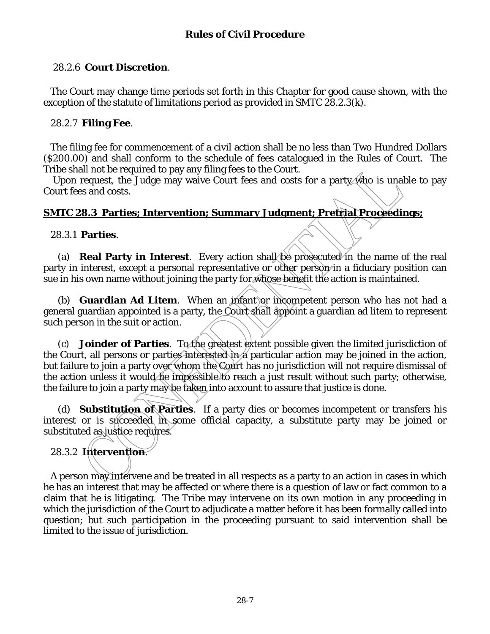## 28.2.6 **Court Discretion**.

The Court may change time periods set forth in this Chapter for good cause shown, with the exception of the statute of limitations period as provided in SMTC 28.2.3(k).

#### 28.2.7 **Filing Fee**.

The filing fee for commencement of a civil action shall be no less than Two Hundred Dollars (\$200.00) and shall conform to the schedule of fees catalogued in the Rules of Court. The Tribe shall not be required to pay any filing fees to the Court.

Upon request, the Judge may waive Court fees and costs for a party who is unable to pay Court fees and costs.

## **SMTC 28.3 Parties; Intervention; Summary Judgment; Pretrial Proceedings;**

28.3.1 **Parties**.

(a) **Real Party in Interest**. Every action shall be prosecuted in the name of the real party in interest, except a personal representative or other person in a fiduciary position can sue in his own name without joining the party for whose benefit the action is maintained.

(b) **Guardian Ad Litem**. When an infant or incompetent person who has not had a general guardian appointed is a party, the Court shall appoint a guardian ad litem to represent such person in the suit or action.

(c) **Joinder of Parties**. To the greatest extent possible given the limited jurisdiction of the Court, all persons or parties interested in a particular action may be joined in the action, but failure to join a party over whom the Court has no jurisdiction will not require dismissal of the action unless it would be impossible to reach a just result without such party; otherwise, the failure to join a party may be taken into account to assure that justice is done.

(d) **Substitution of Parties**. If a party dies or becomes incompetent or transfers his interest or is succeeded in some official capacity, a substitute party may be joined or substituted as justice requires.

## 28.3.2 **Intervention**.

A person may intervene and be treated in all respects as a party to an action in cases in which he has an interest that may be affected or where there is a question of law or fact common to a claim that he is litigating. The Tribe may intervene on its own motion in any proceeding in which the jurisdiction of the Court to adjudicate a matter before it has been formally called into question; but such participation in the proceeding pursuant to said intervention shall be limited to the issue of jurisdiction.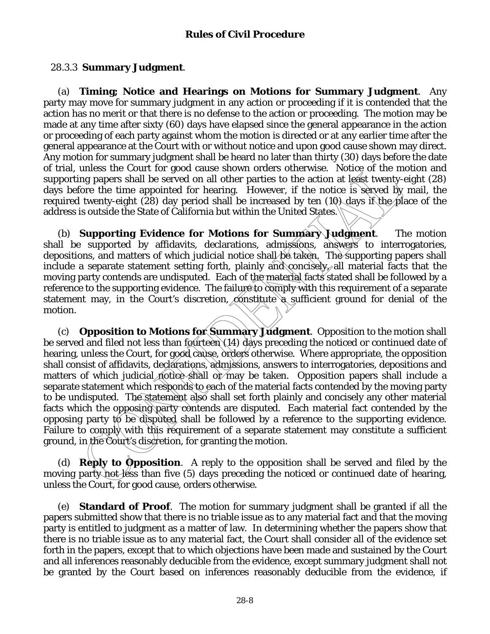## 28.3.3 **Summary Judgment**.

(a) **Timing; Notice and Hearings on Motions for Summary Judgment**. Any party may move for summary judgment in any action or proceeding if it is contended that the action has no merit or that there is no defense to the action or proceeding. The motion may be made at any time after sixty (60) days have elapsed since the general appearance in the action or proceeding of each party against whom the motion is directed or at any earlier time after the general appearance at the Court with or without notice and upon good cause shown may direct. Any motion for summary judgment shall be heard no later than thirty (30) days before the date of trial, unless the Court for good cause shown orders otherwise. Notice of the motion and supporting papers shall be served on all other parties to the action at least twenty-eight (28) days before the time appointed for hearing. However, if the notice is served by mail, the required twenty-eight (28) day period shall be increased by ten (10) days if the place of the address is outside the State of California but within the United States.

(b) **Supporting Evidence for Motions for Summary Judgment**. The motion shall be supported by affidavits, declarations, admissions, answers to interrogatories, depositions, and matters of which judicial notice shall be taken. The supporting papers shall include a separate statement setting forth, plainly and concisely, all material facts that the moving party contends are undisputed. Each of the material facts stated shall be followed by a reference to the supporting evidence. The failure to comply with this requirement of a separate statement may, in the Court's discretion, constitute a sufficient ground for denial of the motion.

(c) **Opposition to Motions for Summary Judgment**. Opposition to the motion shall be served and filed not less than fourteen (14) days preceding the noticed or continued date of hearing, unless the Court, for good cause, orders otherwise. Where appropriate, the opposition shall consist of affidavits, declarations, admissions, answers to interrogatories, depositions and matters of which judicial notice shall or may be taken. Opposition papers shall include a separate statement which responds to each of the material facts contended by the moving party to be undisputed. The statement also shall set forth plainly and concisely any other material facts which the opposing party contends are disputed. Each material fact contended by the opposing party to be disputed shall be followed by a reference to the supporting evidence. Failure to comply with this requirement of a separate statement may constitute a sufficient ground, in the Court's discretion, for granting the motion.

(d) **Reply to Opposition**. A reply to the opposition shall be served and filed by the moving party not less than five (5) days preceding the noticed or continued date of hearing, unless the Court, for good cause, orders otherwise.

(e) **Standard of Proof**. The motion for summary judgment shall be granted if all the papers submitted show that there is no triable issue as to any material fact and that the moving party is entitled to judgment as a matter of law. In determining whether the papers show that there is no triable issue as to any material fact, the Court shall consider all of the evidence set forth in the papers, except that to which objections have been made and sustained by the Court and all inferences reasonably deducible from the evidence, except summary judgment shall not be granted by the Court based on inferences reasonably deducible from the evidence, if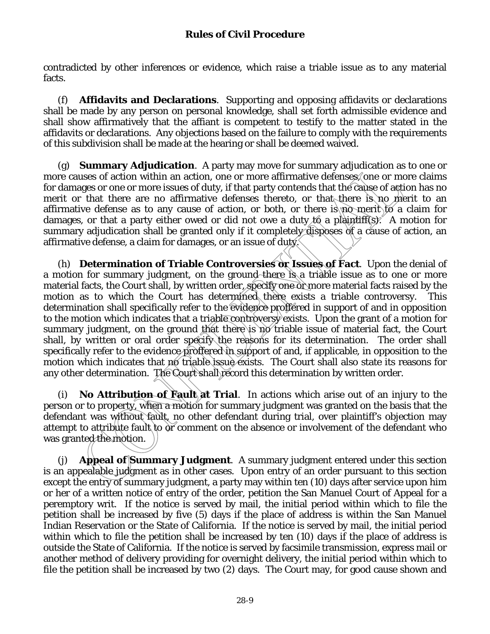contradicted by other inferences or evidence, which raise a triable issue as to any material facts.

(f) **Affidavits and Declarations**. Supporting and opposing affidavits or declarations shall be made by any person on personal knowledge, shall set forth admissible evidence and shall show affirmatively that the affiant is competent to testify to the matter stated in the affidavits or declarations. Any objections based on the failure to comply with the requirements of this subdivision shall be made at the hearing or shall be deemed waived.

(g) **Summary Adjudication**. A party may move for summary adjudication as to one or more causes of action within an action, one or more affirmative defenses, one or more claims for damages or one or more issues of duty, if that party contends that the cause of action has no merit or that there are no affirmative defenses thereto, or that there is no merit to an affirmative defense as to any cause of action, or both, or there is no merit to a claim for damages, or that a party either owed or did not owe a duty  $t\alpha$  a plaintiff(s). A motion for summary adjudication shall be granted only if it completely disposes of a cause of action, an affirmative defense, a claim for damages, or an issue of duty.

(h) **Determination of Triable Controversies or Issues of Fact**. Upon the denial of a motion for summary judgment, on the ground there is a triable issue as to one or more material facts, the Court shall, by written order, specify one or more material facts raised by the motion as to which the Court has determined there exists a triable controversy. This determination shall specifically refer to the evidence proffered in support of and in opposition to the motion which indicates that a triable controversy exists. Upon the grant of a motion for summary judgment, on the ground that there is no triable issue of material fact, the Court shall, by written or oral order specify the reasons for its determination. The order shall specifically refer to the evidence proffered in support of and, if applicable, in opposition to the motion which indicates that no triable issue exists. The Court shall also state its reasons for any other determination. The Court shall record this determination by written order.

(i) **No Attribution of Fault at Trial**. In actions which arise out of an injury to the person or to property, when a motion for summary judgment was granted on the basis that the defendant was without fault, no other defendant during trial, over plaintiff's objection may attempt to attribute fault to or comment on the absence or involvement of the defendant who was granted the motion.

(j) **Appeal of Summary Judgment**. A summary judgment entered under this section is an appealable judgment as in other cases. Upon entry of an order pursuant to this section except the entry of summary judgment, a party may within ten (10) days after service upon him or her of a written notice of entry of the order, petition the San Manuel Court of Appeal for a peremptory writ. If the notice is served by mail, the initial period within which to file the petition shall be increased by five (5) days if the place of address is within the San Manuel Indian Reservation or the State of California. If the notice is served by mail, the initial period within which to file the petition shall be increased by ten (10) days if the place of address is outside the State of California. If the notice is served by facsimile transmission, express mail or another method of delivery providing for overnight delivery, the initial period within which to file the petition shall be increased by two (2) days. The Court may, for good cause shown and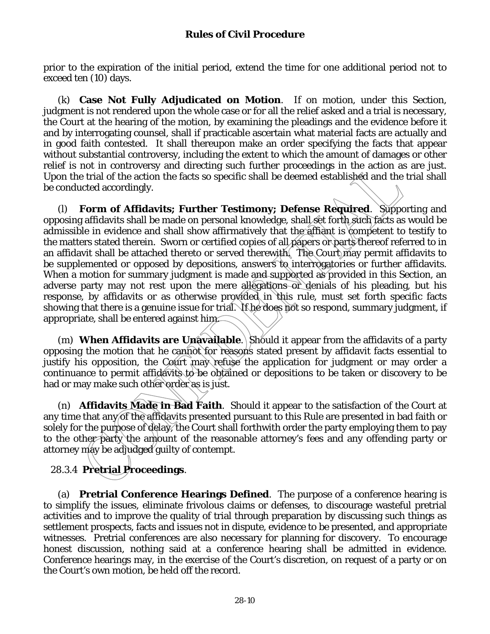prior to the expiration of the initial period, extend the time for one additional period not to exceed ten (10) days.

(k) **Case Not Fully Adjudicated on Motion**. If on motion, under this Section, judgment is not rendered upon the whole case or for all the relief asked and a trial is necessary, the Court at the hearing of the motion, by examining the pleadings and the evidence before it and by interrogating counsel, shall if practicable ascertain what material facts are actually and in good faith contested. It shall thereupon make an order specifying the facts that appear without substantial controversy, including the extent to which the amount of damages or other relief is not in controversy and directing such further proceedings in the action as are just. Upon the trial of the action the facts so specific shall be deemed established and the trial shall be conducted accordingly.

(l) **Form of Affidavits; Further Testimony; Defense Required**. Supporting and opposing affidavits shall be made on personal knowledge, shall set forth such facts as would be admissible in evidence and shall show affirmatively that the affiant is competent to testify to the matters stated therein. Sworn or certified copies of all papers or parts thereof referred to in an affidavit shall be attached thereto or served therewith. The Court may permit affidavits to be supplemented or opposed by depositions, answers to interrogatories or further affidavits. When a motion for summary judgment is made and supported as provided in this Section, an adverse party may not rest upon the mere allegations or denials of his pleading, but his response, by affidavits or as otherwise provided in this rule, must set forth specific facts showing that there is a genuine issue for trial. If he does not so respond, summary judgment, if appropriate, shall be entered against him.

(m) **When Affidavits are Unavailable**. Should it appear from the affidavits of a party opposing the motion that he cannot for reasons stated present by affidavit facts essential to justify his opposition, the Court may refuse the application for judgment or may order a continuance to permit affidavits to be obtained or depositions to be taken or discovery to be had or may make such other order as is just.

(n) **Affidavits Made in Bad Faith**. Should it appear to the satisfaction of the Court at any time that any of the affidavits presented pursuant to this Rule are presented in bad faith or solely for the purpose of delay, the Court shall forthwith order the party employing them to pay to the other party the amount of the reasonable attorney's fees and any offending party or attorney may be adjudged guilty of contempt.

# 28.3.4 **Pretrial Proceedings**.

(a) **Pretrial Conference Hearings Defined**. The purpose of a conference hearing is to simplify the issues, eliminate frivolous claims or defenses, to discourage wasteful pretrial activities and to improve the quality of trial through preparation by discussing such things as settlement prospects, facts and issues not in dispute, evidence to be presented, and appropriate witnesses. Pretrial conferences are also necessary for planning for discovery. To encourage honest discussion, nothing said at a conference hearing shall be admitted in evidence. Conference hearings may, in the exercise of the Court's discretion, on request of a party or on the Court's own motion, be held off the record.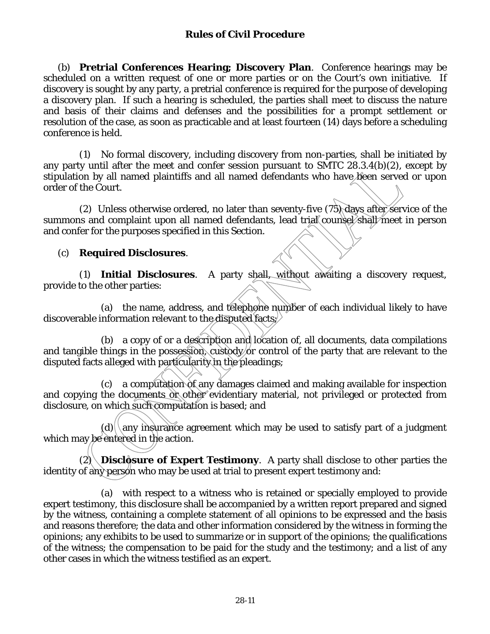(b) **Pretrial Conferences Hearing; Discovery Plan**. Conference hearings may be scheduled on a written request of one or more parties or on the Court's own initiative. If discovery is sought by any party, a pretrial conference is required for the purpose of developing a discovery plan. If such a hearing is scheduled, the parties shall meet to discuss the nature and basis of their claims and defenses and the possibilities for a prompt settlement or resolution of the case, as soon as practicable and at least fourteen (14) days before a scheduling conference is held.

 (1) No formal discovery, including discovery from non-parties, shall be initiated by any party until after the meet and confer session pursuant to SMTC 28.3.4(b)(2), except by stipulation by all named plaintiffs and all named defendants who have been served or upon order of the Court.

(2) Unless otherwise ordered, no later than seventy-five  $(75)$  days after service of the summons and complaint upon all named defendants, lead trial counsel shall meet in person and confer for the purposes specified in this Section.

### (c) **Required Disclosures**.

 (1) **Initial Disclosures**. A party shall, without awaiting a discovery request, provide to the other parties:

 (a) the name, address, and telephone number of each individual likely to have discoverable information relevant to the disputed facts;

(b) a copy of or a description and location of, all documents, data compilations and tangible things in the possession, custody or control of the party that are relevant to the disputed facts alleged with particularity in the pleadings;

 (c) a computation of any damages claimed and making available for inspection and copying the documents or other evidentiary material, not privileged or protected from disclosure, on which such computation is based; and

 $(d)$  any insurance agreement which may be used to satisfy part of a judgment which may be entered in the action.

 $(2)$  **Disclosure of Expert Testimony**. A party shall disclose to other parties the identity of any person who may be used at trial to present expert testimony and:

 (a) with respect to a witness who is retained or specially employed to provide expert testimony, this disclosure shall be accompanied by a written report prepared and signed by the witness, containing a complete statement of all opinions to be expressed and the basis and reasons therefore; the data and other information considered by the witness in forming the opinions; any exhibits to be used to summarize or in support of the opinions; the qualifications of the witness; the compensation to be paid for the study and the testimony; and a list of any other cases in which the witness testified as an expert.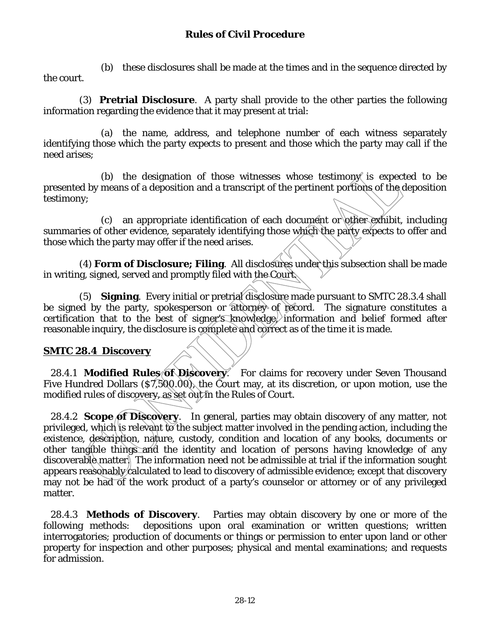(b) these disclosures shall be made at the times and in the sequence directed by the court.

 (3) **Pretrial Disclosure**. A party shall provide to the other parties the following information regarding the evidence that it may present at trial:

 (a) the name, address, and telephone number of each witness separately identifying those which the party expects to present and those which the party may call if the need arises;

(b) the designation of those witnesses whose testimon  $\mathcal{N}$  is expected to be presented by means of a deposition and a transcript of the pertinent portions of the deposition testimony;

(c) an appropriate identification of each document or other exhibit, including summaries of other evidence, separately identifying those which the party expects to offer and those which the party may offer if the need arises.

 (4) **Form of Disclosure; Filing**. All disclosures under this subsection shall be made in writing, signed, served and promptly filed with the Court.

 (5) **Signing**. Every initial or pretrial disclosure made pursuant to SMTC 28.3.4 shall be signed by the party, spokesperson or attorney of record. The signature constitutes a certification that to the best of signer's knowledge, information and belief formed after reasonable inquiry, the disclosure is complete and correct as of the time it is made.

#### **SMTC 28.4 Discovery**

28.4.1 **Modified Rules of Discovery.** For claims for recovery under Seven Thousand Five Hundred Dollars (\$7,500.00), the Court may, at its discretion, or upon motion, use the modified rules of discovery, as set out in the Rules of Court.

28.4.2 **Scope of Discovery**. In general, parties may obtain discovery of any matter, not privileged, which is relevant to the subject matter involved in the pending action, including the existence, description, nature, custody, condition and location of any books, documents or other tangible things and the identity and location of persons having knowledge of any discoverable matter. The information need not be admissible at trial if the information sought appears reasonably calculated to lead to discovery of admissible evidence; except that discovery may not be had of the work product of a party's counselor or attorney or of any privileged matter.

28.4.3 **Methods of Discovery**. Parties may obtain discovery by one or more of the following methods: depositions upon oral examination or written questions; written interrogatories; production of documents or things or permission to enter upon land or other property for inspection and other purposes; physical and mental examinations; and requests for admission.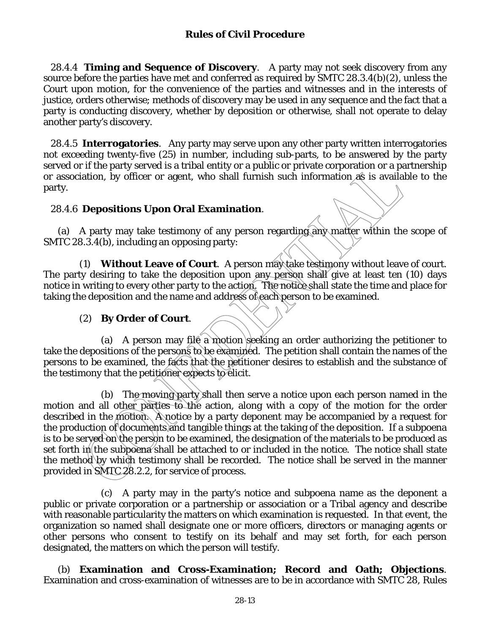28.4.4 **Timing and Sequence of Discovery**. A party may not seek discovery from any source before the parties have met and conferred as required by SMTC 28.3.4(b)(2), unless the Court upon motion, for the convenience of the parties and witnesses and in the interests of justice, orders otherwise; methods of discovery may be used in any sequence and the fact that a party is conducting discovery, whether by deposition or otherwise, shall not operate to delay another party's discovery.

28.4.5 **Interrogatories**. Any party may serve upon any other party written interrogatories not exceeding twenty-five (25) in number, including sub-parts, to be answered by the party served or if the party served is a tribal entity or a public or private corporation or a partnership or association, by officer or agent, who shall furnish such information  $\mathcal{A}$  is available to the party.

#### 28.4.6 **Depositions Upon Oral Examination**.

(a) A party may take testimony of any person regarding any matter within the scope of SMTC 28.3.4(b), including an opposing party:

(1) **Without Leave of Court**. A person may take testimony without leave of court. The party desiring to take the deposition upon any person shall give at least ten (10) days notice in writing to every other party to the action. The notice shall state the time and place for taking the deposition and the name and address of each person to be examined.

#### (2) **By Order of Court**.

(a) A person may file a motion seeking an order authorizing the petitioner to take the depositions of the persons to be examined. The petition shall contain the names of the persons to be examined, the facts that the petitioner desires to establish and the substance of the testimony that the petitioner expects to elicit.

 (b) The moving party shall then serve a notice upon each person named in the motion and all other parties to the action, along with a copy of the motion for the order described in the motion. A notice by a party deponent may be accompanied by a request for the production of documents and tangible things at the taking of the deposition. If a subpoena is to be serve<del>d</del> on the person to be examined, the designation of the materials to be produced as set forth in the subpoena shall be attached to or included in the notice. The notice shall state the method by which testimony shall be recorded. The notice shall be served in the manner provided in SMTC 28.2.2, for service of process.

 (c) A party may in the party's notice and subpoena name as the deponent a public or private corporation or a partnership or association or a Tribal agency and describe with reasonable particularity the matters on which examination is requested. In that event, the organization so named shall designate one or more officers, directors or managing agents or other persons who consent to testify on its behalf and may set forth, for each person designated, the matters on which the person will testify.

(b) **Examination and Cross-Examination; Record and Oath; Objections**. Examination and cross-examination of witnesses are to be in accordance with SMTC 28, Rules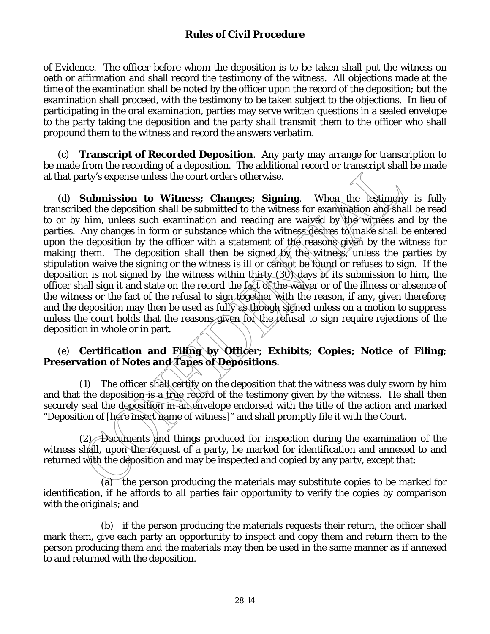of Evidence. The officer before whom the deposition is to be taken shall put the witness on oath or affirmation and shall record the testimony of the witness. All objections made at the time of the examination shall be noted by the officer upon the record of the deposition; but the examination shall proceed, with the testimony to be taken subject to the objections. In lieu of participating in the oral examination, parties may serve written questions in a sealed envelope to the party taking the deposition and the party shall transmit them to the officer who shall propound them to the witness and record the answers verbatim.

(c) **Transcript of Recorded Deposition**. Any party may arrange for transcription to be made from the recording of a deposition. The additional record or transcript shall be made at that party's expense unless the court orders otherwise.

(d) **Submission to Witness; Changes; Signing**. When the testimony is fully transcribed the deposition shall be submitted to the witness for examination and shall be read to or by him, unless such examination and reading are waived by the witness and by the parties. Any changes in form or substance which the witness desires to make shall be entered upon the deposition by the officer with a statement of the reasons given by the witness for making them. The deposition shall then be signed by the witness, unless the parties by stipulation waive the signing or the witness is ill or cannot be found or refuses to sign. If the deposition is not signed by the witness within thirty  $(30)$  days of its submission to him, the officer shall sign it and state on the record the fact of the waiver or of the illness or absence of the witness or the fact of the refusal to sign together with the reason, if any, given therefore; and the deposition may then be used as fully as though signed unless on a motion to suppress unless the court holds that the reasons given for the refusal to sign require rejections of the deposition in whole or in part.

#### (e) **Certification and Filing by Officer; Exhibits; Copies; Notice of Filing; Preservation of Notes and Tapes of Depositions**.

 (1) The officer shall certify on the deposition that the witness was duly sworn by him and that the deposition is a true record of the testimony given by the witness. He shall then securely seal the deposition in an envelope endorsed with the title of the action and marked "Deposition of [here insert name of witness]" and shall promptly file it with the Court.

 $(2)$  Documents and things produced for inspection during the examination of the witness shall, upon the request of a party, be marked for identification and annexed to and returned with the deposition and may be inspected and copied by any party, except that:

 (a) the person producing the materials may substitute copies to be marked for identification, if he affords to all parties fair opportunity to verify the copies by comparison with the originals; and

 (b) if the person producing the materials requests their return, the officer shall mark them, give each party an opportunity to inspect and copy them and return them to the person producing them and the materials may then be used in the same manner as if annexed to and returned with the deposition.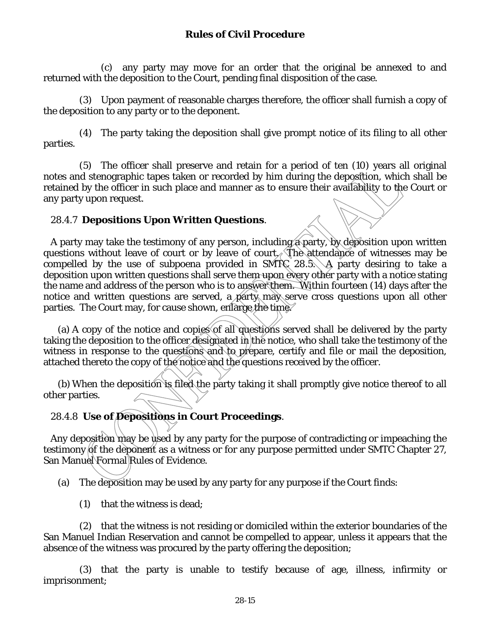(c) any party may move for an order that the original be annexed to and returned with the deposition to the Court, pending final disposition of the case.

 (3) Upon payment of reasonable charges therefore, the officer shall furnish a copy of the deposition to any party or to the deponent.

 (4) The party taking the deposition shall give prompt notice of its filing to all other parties.

 (5) The officer shall preserve and retain for a period of ten (10) years all original notes and stenographic tapes taken or recorded by him during the deposition, which shall be retained by the officer in such place and manner as to ensure their availability to the Court or any party upon request.

### 28.4.7 **Depositions Upon Written Questions**.

A party may take the testimony of any person, including a party, by deposition upon written questions without leave of court or by leave of court. The attendance of witnesses may be compelled by the use of subpoena provided in SMTC 28.5. A party desiring to take a deposition upon written questions shall serve them upon every other party with a notice stating the name and address of the person who is to answer them. Within fourteen (14) days after the notice and written questions are served, a party may serve cross questions upon all other parties. The Court may, for cause shown, enlarge the time.

(a) A copy of the notice and copies of all questions served shall be delivered by the party taking the deposition to the officer designated in the notice, who shall take the testimony of the witness in response to the questions and to prepare, certify and file or mail the deposition, attached thereto the copy of the notice and the questions received by the officer.

(b) When the deposition is filed the party taking it shall promptly give notice thereof to all other parties.

## 28.4.8 **Use of Depositions in Court Proceedings**.

Any deposition may be used by any party for the purpose of contradicting or impeaching the testimony of the deponent as a witness or for any purpose permitted under SMTC Chapter 27, San Manuel Formal Rules of Evidence.

(a) The deposition may be used by any party for any purpose if the Court finds:

(1) that the witness is dead;

(2) that the witness is not residing or domiciled within the exterior boundaries of the San Manuel Indian Reservation and cannot be compelled to appear, unless it appears that the absence of the witness was procured by the party offering the deposition;

(3) that the party is unable to testify because of age, illness, infirmity or imprisonment;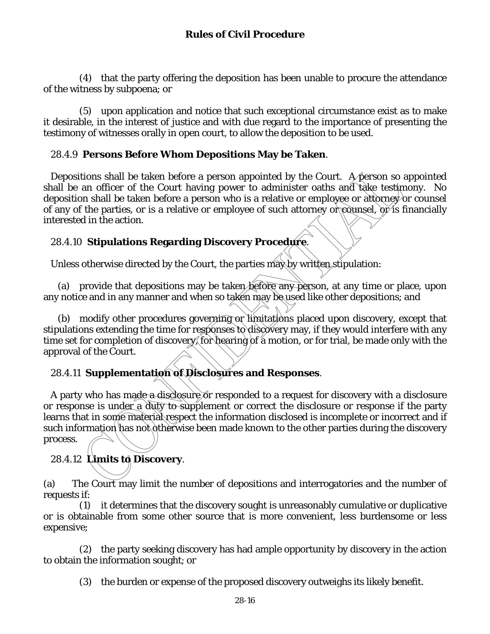(4) that the party offering the deposition has been unable to procure the attendance of the witness by subpoena; or

 (5) upon application and notice that such exceptional circumstance exist as to make it desirable, in the interest of justice and with due regard to the importance of presenting the testimony of witnesses orally in open court, to allow the deposition to be used.

## 28.4.9 **Persons Before Whom Depositions May be Taken**.

Depositions shall be taken before a person appointed by the Court. A person so appointed shall be an officer of the Court having power to administer oaths and take testimony. No deposition shall be taken before a person who is a relative or employee or attorney or counsel of any of the parties, or is a relative or employee of such attorney or counsel, or is financially interested in the action.

## 28.4.10 **Stipulations Regarding Discovery Procedure**.

Unless otherwise directed by the Court, the parties may by written stipulation:

(a) provide that depositions may be taken before any person, at any time or place, upon any notice and in any manner and when so taken may be used like other depositions; and

(b) modify other procedures governing or limitations placed upon discovery, except that stipulations extending the time for responses to discovery may, if they would interfere with any time set for completion of discovery, for hearing of a motion, or for trial, be made only with the approval of the Court.

## 28.4.11 **Supplementation of Disclosures and Responses**.

A party who has made a disclosure or responded to a request for discovery with a disclosure or response is under a duty to supplement or correct the disclosure or response if the party learns that in some material respect the information disclosed is incomplete or incorrect and if such information has not otherwise been made known to the other parties during the discovery process.

## 28.4.12 **Limits to Discovery**.

(a) The Court may limit the number of depositions and interrogatories and the number of requests if:

 (1) it determines that the discovery sought is unreasonably cumulative or duplicative or is obtainable from some other source that is more convenient, less burdensome or less expensive;

 (2) the party seeking discovery has had ample opportunity by discovery in the action to obtain the information sought; or

(3) the burden or expense of the proposed discovery outweighs its likely benefit.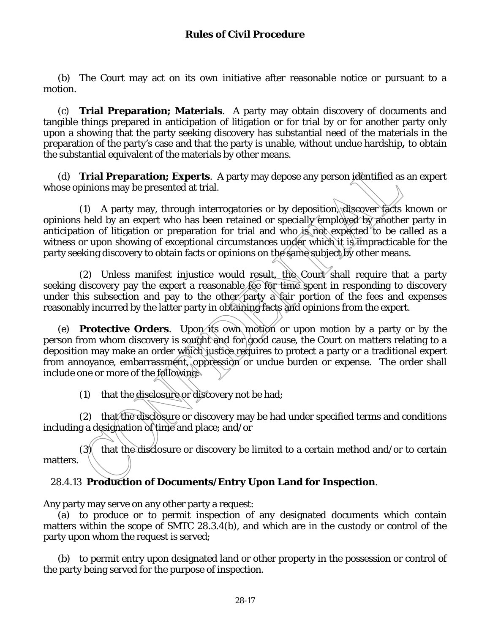(b) The Court may act on its own initiative after reasonable notice or pursuant to a motion.

(c) **Trial Preparation; Materials**. A party may obtain discovery of documents and tangible things prepared in anticipation of litigation or for trial by or for another party only upon a showing that the party seeking discovery has substantial need of the materials in the preparation of the party's case and that the party is unable, without undue hardship**,** to obtain the substantial equivalent of the materials by other means.

(d) **Trial Preparation; Experts**. A party may depose any person identified as an expert whose opinions may be presented at trial.

 (1) A party may, through interrogatories or by deposition, discover facts known or opinions held by an expert who has been retained or specially employed by another party in anticipation of litigation or preparation for trial and who is not expected to be called as a witness or upon showing of exceptional circumstances under which it is impracticable for the party seeking discovery to obtain facts or opinions on the same subject by other means.

 (2) Unless manifest injustice would result, the Court shall require that a party seeking discovery pay the expert a reasonable fee for time spent in responding to discovery under this subsection and pay to the other party a fair portion of the fees and expenses reasonably incurred by the latter party in obtaining facts and opinions from the expert.

(e) **Protective Orders**. Upon its own motion or upon motion by a party or by the person from whom discovery is sought and for good cause, the Court on matters relating to a deposition may make an order which justice requires to protect a party or a traditional expert from annoyance, embarrassment, oppression or undue burden or expense. The order shall include one or more of the following:

(1) that the disclosure or discovery not be had;

 (2) that the disclosure or discovery may be had under specified terms and conditions including a designation of time and place; and/or

 $(3)$  that the disclosure or discovery be limited to a certain method and/or to certain matters.

## 28.4.13 **Production of Documents/Entry Upon Land for Inspection**.

Any party may serve on any other party a request:

(a) to produce or to permit inspection of any designated documents which contain matters within the scope of SMTC 28.3.4(b), and which are in the custody or control of the party upon whom the request is served;

(b) to permit entry upon designated land or other property in the possession or control of the party being served for the purpose of inspection.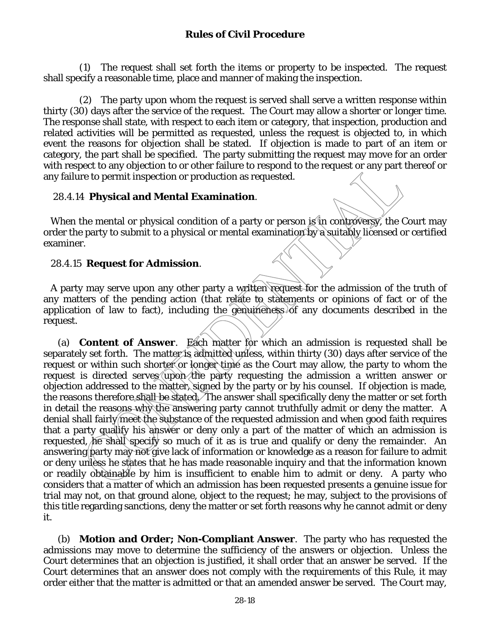(1) The request shall set forth the items or property to be inspected. The request shall specify a reasonable time, place and manner of making the inspection.

 (2) The party upon whom the request is served shall serve a written response within thirty (30) days after the service of the request. The Court may allow a shorter or longer time. The response shall state, with respect to each item or category, that inspection, production and related activities will be permitted as requested, unless the request is objected to, in which event the reasons for objection shall be stated. If objection is made to part of an item or category, the part shall be specified. The party submitting the request may move for an order with respect to any objection to or other failure to respond to the request or any part thereof or any failure to permit inspection or production as requested.

## 28.4.14 **Physical and Mental Examination**.

When the mental or physical condition of a party or person is in controversy, the Court may order the party to submit to a physical or mental examination by a suitably licensed or certified examiner.

## 28.4.15 **Request for Admission**.

A party may serve upon any other party a written request for the admission of the truth of any matters of the pending action (that relate to statements or opinions of fact or of the application of law to fact), including the genumeness of any documents described in the request.

(a) **Content of Answer**. Each matter for which an admission is requested shall be separately set forth. The matter is admitted unless, within thirty (30) days after service of the request or within such shorter or longer time as the Court may allow, the party to whom the request is directed serves upon the party requesting the admission a written answer or objection addressed to the matter, signed by the party or by his counsel. If objection is made, the reasons therefore shall be stated. The answer shall specifically deny the matter or set forth in detail the reasons why the answering party cannot truthfully admit or deny the matter. A denial shall fairly meet the substance of the requested admission and when good faith requires that a party qualify his answer or deny only a part of the matter of which an admission is requested, he shall specify so much of it as is true and qualify or deny the remainder. An answering party may not give lack of information or knowledge as a reason for failure to admit or deny unless he states that he has made reasonable inquiry and that the information known or readily obtainable by him is insufficient to enable him to admit or deny. A party who considers that a matter of which an admission has been requested presents a genuine issue for trial may not, on that ground alone, object to the request; he may, subject to the provisions of this title regarding sanctions, deny the matter or set forth reasons why he cannot admit or deny it.

(b) **Motion and Order; Non-Compliant Answer**. The party who has requested the admissions may move to determine the sufficiency of the answers or objection. Unless the Court determines that an objection is justified, it shall order that an answer be served. If the Court determines that an answer does not comply with the requirements of this Rule, it may order either that the matter is admitted or that an amended answer be served. The Court may,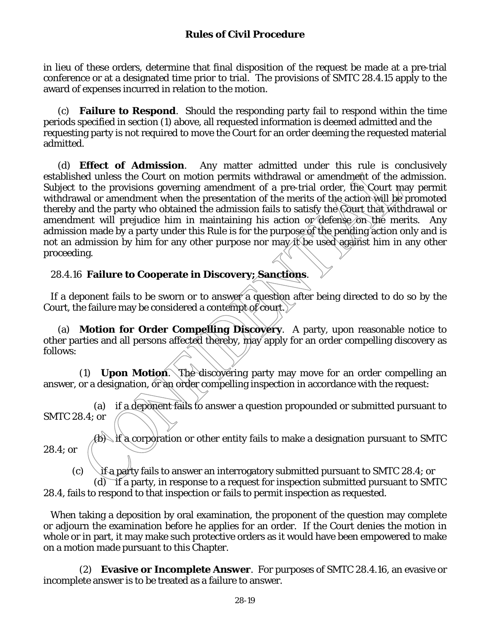in lieu of these orders, determine that final disposition of the request be made at a pre-trial conference or at a designated time prior to trial. The provisions of SMTC 28.4.15 apply to the award of expenses incurred in relation to the motion.

(c) **Failure to Respond**. Should the responding party fail to respond within the time periods specified in section (1) above, all requested information is deemed admitted and the requesting party is not required to move the Court for an order deeming the requested material admitted.

(d) **Effect of Admission**. Any matter admitted under this rule is conclusively established unless the Court on motion permits withdrawal or amendment of the admission. Subject to the provisions governing amendment of a pre-trial order, the Court may permit withdrawal or amendment when the presentation of the merits of the action will be promoted thereby and the party who obtained the admission fails to satisfy the Court that withdrawal or amendment will prejudice him in maintaining his action or defense on the merits. Any admission made by a party under this Rule is for the purpose of the pending action only and is not an admission by him for any other purpose nor may it be used against him in any other proceeding.

## 28.4.16 **Failure to Cooperate in Discovery; Sanctions**.

If a deponent fails to be sworn or to answer a question after being directed to do so by the Court, the failure may be considered a contempt of court.  $\triangledown$ 

(a) **Motion for Order Compelling Discovery**. A party, upon reasonable notice to other parties and all persons affected thereby, may apply for an order compelling discovery as follows:

 (1) **Upon Motion**. The discovering party may move for an order compelling an answer, or a designation, or an order compelling inspection in accordance with the request:

 (a) if a deponent fails to answer a question propounded or submitted pursuant to SMTC 28.4; or

(b) if a corporation or other entity fails to make a designation pursuant to SMTC 28.4; or

(c)  $\rightarrow$  if a party fails to answer an interrogatory submitted pursuant to SMTC 28.4; or

(d) if a party, in response to a request for inspection submitted pursuant to SMTC 28.4, fails to respond to that inspection or fails to permit inspection as requested.

When taking a deposition by oral examination, the proponent of the question may complete or adjourn the examination before he applies for an order. If the Court denies the motion in whole or in part, it may make such protective orders as it would have been empowered to make on a motion made pursuant to this Chapter.

 (2) **Evasive or Incomplete Answer**. For purposes of SMTC 28.4.16, an evasive or incomplete answer is to be treated as a failure to answer.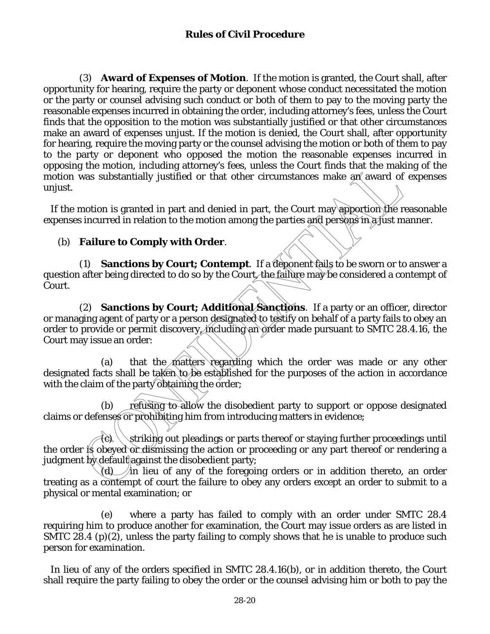(3) **Award of Expenses of Motion**. If the motion is granted, the Court shall, after opportunity for hearing, require the party or deponent whose conduct necessitated the motion or the party or counsel advising such conduct or both of them to pay to the moving party the reasonable expenses incurred in obtaining the order, including attorney's fees, unless the Court finds that the opposition to the motion was substantially justified or that other circumstances make an award of expenses unjust. If the motion is denied, the Court shall, after opportunity for hearing, require the moving party or the counsel advising the motion or both of them to pay to the party or deponent who opposed the motion the reasonable expenses incurred in opposing the motion, including attorney's fees, unless the Court finds that the making of the motion was substantially justified or that other circumstances make an award of expenses unjust.

 If the motion is granted in part and denied in part, the Court may apportion the reasonable expenses incurred in relation to the motion among the parties and persons in a just manner.

### (b) **Failure to Comply with Order**.

 (1) **Sanctions by Court; Contempt**. If a deponent fails to be sworn or to answer a question after being directed to do so by the Court, the failure may be considered a contempt of Court.

 (2) **Sanctions by Court; Additional Sanctions**. If a party or an officer, director or managing agent of party or a person designated to testify on behalf of a party fails to obey an order to provide or permit discovery, including an order made pursuant to SMTC 28.4.16, the Court may issue an order:

 (a) that the matters regarding which the order was made or any other designated facts shall be taken to be established for the purposes of the action in accordance with the claim of the party obtaining the order;

 (b) refusing to allow the disobedient party to support or oppose designated claims or defenses or prohibiting him from introducing matters in evidence;

 $\left\{\hat{\epsilon}\right\}\setminus\left\{\text{striking out pleasings or parts thereof or staying further proceedings until }\right\}$ the order is obeyed or dismissing the action or proceeding or any part thereof or rendering a judgment  $\mathbf{b} \mathbf{y}$  default against the disobedient party;

(d)  $\hat{a}$  in lieu of any of the foregoing orders or in addition thereto, an order treating as a contempt of court the failure to obey any orders except an order to submit to a physical or mental examination; or

 (e) where a party has failed to comply with an order under SMTC 28.4 requiring him to produce another for examination, the Court may issue orders as are listed in SMTC 28.4 (p)(2), unless the party failing to comply shows that he is unable to produce such person for examination.

 In lieu of any of the orders specified in SMTC 28.4.16(b), or in addition thereto, the Court shall require the party failing to obey the order or the counsel advising him or both to pay the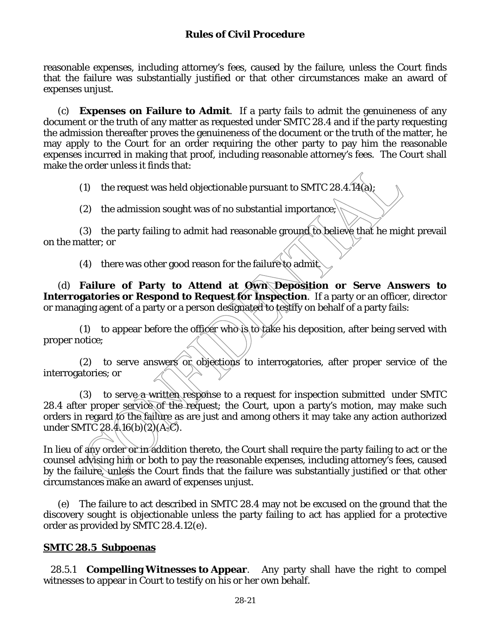reasonable expenses, including attorney's fees, caused by the failure, unless the Court finds that the failure was substantially justified or that other circumstances make an award of expenses unjust.

 (c) **Expenses on Failure to Admit**. If a party fails to admit the genuineness of any document or the truth of any matter as requested under SMTC 28.4 and if the party requesting the admission thereafter proves the genuineness of the document or the truth of the matter, he may apply to the Court for an order requiring the other party to pay him the reasonable expenses incurred in making that proof, including reasonable attorney's fees. The Court shall make the order unless it finds that:

(1) the request was held objectionable pursuant to SMTC 28.4.14(a);

(2) the admission sought was of no substantial importance;

 (3) the party failing to admit had reasonable ground to believe that he might prevail on the matter; or

(4) there was other good reason for the failure to admit.

(d) **Failure of Party to Attend at Own Deposition or Serve Answers to Interrogatories or Respond to Request for Inspection**. If a party or an officer, director or managing agent of a party or a person designated to testify on behalf of a party fails:

(1) to appear before the officer who is to take his deposition, after being served with proper notice;

(2) to serve answers or objections to interrogatories, after proper service of the interrogatories; or

(3) to serve a written response to a request for inspection submitted under SMTC 28.4 after proper service of the request; the Court, upon a party's motion, may make such orders in regard to the failure as are just and among others it may take any action authorized under SMTC 28.4.16(b)(2)(A $\chi$ C).

In lieu of any order or in addition thereto, the Court shall require the party failing to act or the counsel advising him or both to pay the reasonable expenses, including attorney's fees, caused by the failure, unless the Court finds that the failure was substantially justified or that other circumstances make an award of expenses unjust.

 (e) The failure to act described in SMTC 28.4 may not be excused on the ground that the discovery sought is objectionable unless the party failing to act has applied for a protective order as provided by SMTC 28.4.12(e).

## **SMTC 28.5 Subpoenas**

28.5.1 **Compelling Witnesses to Appear**. Any party shall have the right to compel witnesses to appear in Court to testify on his or her own behalf.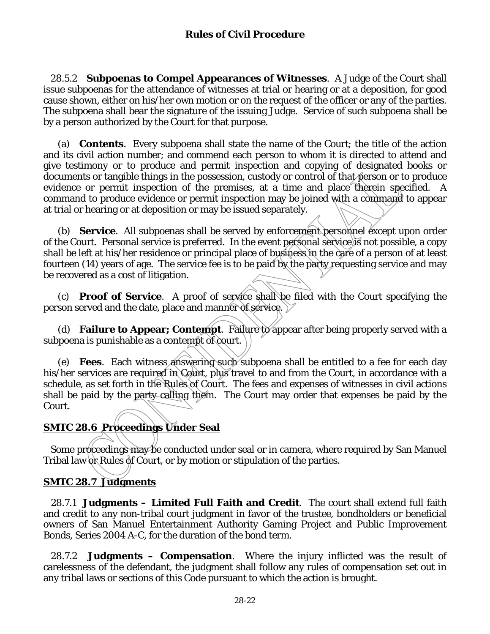28.5.2 **Subpoenas to Compel Appearances of Witnesses**. A Judge of the Court shall issue subpoenas for the attendance of witnesses at trial or hearing or at a deposition, for good cause shown, either on his/her own motion or on the request of the officer or any of the parties. The subpoena shall bear the signature of the issuing Judge. Service of such subpoena shall be by a person authorized by the Court for that purpose.

(a) **Contents**. Every subpoena shall state the name of the Court; the title of the action and its civil action number; and commend each person to whom it is directed to attend and give testimony or to produce and permit inspection and copying of designated books or documents or tangible things in the possession, custody or control of that person or to produce evidence or permit inspection of the premises, at a time and place therein specified. A command to produce evidence or permit inspection may be joined with a command to appear at trial or hearing or at deposition or may be issued separately.

(b) **Service**. All subpoenas shall be served by enforcement personnel except upon order of the Court. Personal service is preferred. In the event personal service is not possible, a copy shall be left at his/her residence or principal place of business in the care of a person of at least fourteen (14) years of age. The service fee is to be paid by the party requesting service and may be recovered as a cost of litigation.

(c) **Proof of Service**. A proof of service shall be filed with the Court specifying the person served and the date, place and manner of service.

(d) **Failure to Appear; Contempt**. Failure to appear after being properly served with a subpoena is punishable as a contempt of court.

(e) **Fees**. Each witness answering such subpoena shall be entitled to a fee for each day his/her services are required in Court, plus travel to and from the Court, in accordance with a schedule, as set forth in the Rules of Court. The fees and expenses of witnesses in civil actions shall be paid by the party calling them. The Court may order that expenses be paid by the Court.

## **SMTC 28.6 Proceedings Under Seal**

Some proceedings may be conducted under seal or in camera, where required by San Manuel Tribal law  $\delta$  Rules  $\delta$ f Court, or by motion or stipulation of the parties.

## **SMTC 28.7 Judgments**

28.7.1 **Judgments – Limited Full Faith and Credit**.The court shall extend full faith and credit to any non-tribal court judgment in favor of the trustee, bondholders or beneficial owners of San Manuel Entertainment Authority Gaming Project and Public Improvement Bonds, Series 2004 A-C, for the duration of the bond term.

28.7.2 **Judgments – Compensation**. Where the injury inflicted was the result of carelessness of the defendant, the judgment shall follow any rules of compensation set out in any tribal laws or sections of this Code pursuant to which the action is brought.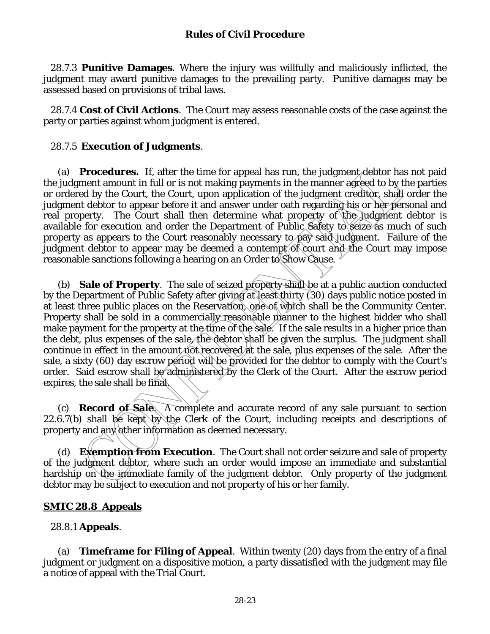28.7.3 **Punitive Damages.** Where the injury was willfully and maliciously inflicted, the judgment may award punitive damages to the prevailing party. Punitive damages may be assessed based on provisions of tribal laws.

28.7.4 **Cost of Civil Actions**.The Court may assess reasonable costs of the case against the party or parties against whom judgment is entered.

## 28.7.5 **Execution of Judgments**.

(a) **Procedures.** If, after the time for appeal has run, the judgment debtor has not paid the judgment amount in full or is not making payments in the manner agreed to by the parties or ordered by the Court, the Court, upon application of the judgment creditor, shall order the judgment debtor to appear before it and answer under oath regarding his or her personal and real property. The Court shall then determine what property of the judgment debtor is available for execution and order the Department of Public Safety to seize as much of such property as appears to the Court reasonably necessary to pay said judgment. Failure of the judgment debtor to appear may be deemed a contempt  $\delta$  court and the Court may impose reasonable sanctions following a hearing on an Order to Show Cause.

(b) **Sale of Property**. The sale of seized property shall be at a public auction conducted by the Department of Public Safety after giving at least thirty (30) days public notice posted in at least three public places on the Reservation, one of which shall be the Community Center. Property shall be sold in a commercially reasonable manner to the highest bidder who shall make payment for the property at the time of the sale. If the sale results in a higher price than the debt, plus expenses of the sale, the debtor shall be given the surplus. The judgment shall continue in effect in the amount not recovered at the sale, plus expenses of the sale. After the sale, a sixty (60) day escrow period will be provided for the debtor to comply with the Court's order. Said escrow shall be administered by the Clerk of the Court. After the escrow period expires, the sale shall be final.

(c) **Record of Sale**. A complete and accurate record of any sale pursuant to section 22.6.7(b) shall be kept by the Clerk of the Court, including receipts and descriptions of property and any other information as deemed necessary.

(d) **Exemption from Execution**. The Court shall not order seizure and sale of property of the judgment debtor, where such an order would impose an immediate and substantial hardship on the immediate family of the judgment debtor. Only property of the judgment debtor may be subject to execution and not property of his or her family.

## **SMTC 28.8 Appeals**

### 28.8.1 **Appeals**.

 (a) **Timeframe for Filing of Appeal**. Within twenty (20) days from the entry of a final judgment or judgment on a dispositive motion, a party dissatisfied with the judgment may file a notice of appeal with the Trial Court.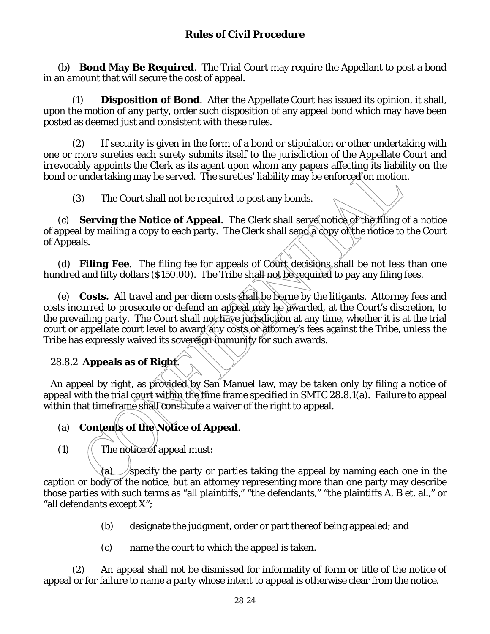(b) **Bond May Be Required**. The Trial Court may require the Appellant to post a bond in an amount that will secure the cost of appeal.

 (1) **Disposition of Bond**. After the Appellate Court has issued its opinion, it shall, upon the motion of any party, order such disposition of any appeal bond which may have been posted as deemed just and consistent with these rules.

 (2) If security is given in the form of a bond or stipulation or other undertaking with one or more sureties each surety submits itself to the jurisdiction of the Appellate Court and irrevocably appoints the Clerk as its agent upon whom any papers affecting its liability on the bond or undertaking may be served. The sureties' liability may be enforced on motion.

(3) The Court shall not be required to post any bonds.

 (c) **Serving the Notice of Appeal**. The Clerk shall serve notice of the filing of a notice of appeal by mailing a copy to each party. The Clerk shall send a copy of the notice to the Court of Appeals.

 (d) **Filing Fee**. The filing fee for appeals of Court decisions shall be not less than one hundred and fifty dollars (\$150.00). The Tribe shall not be required to pay any filing fees.

(e) **Costs.** All travel and per diem costs shall be borne by the litigants. Attorney fees and costs incurred to prosecute or defend an appeal may be awarded, at the Court's discretion, to the prevailing party. The Court shall not have jurisdiction at any time, whether it is at the trial court or appellate court level to award any costs or attorney's fees against the Tribe, unless the Tribe has expressly waived its sovereign immunity for such awards.

## 28.8.2 **Appeals as of Right**.

An appeal by right, as provided by San Manuel law, may be taken only by filing a notice of appeal with the trial court within the time frame specified in SMTC 28.8.1(a). Failure to appeal within that timeframe shall constitute a waiver of the right to appeal.

# (a) **Contents of the Notice of Appeal**.

 $(1)$  (The notice of appeal must:

(a) specify the party or parties taking the appeal by naming each one in the caption or body of the notice, but an attorney representing more than one party may describe those parties with such terms as "all plaintiffs," "the defendants," "the plaintiffs A, B et. al.," or "all defendants except X";

- (b) designate the judgment, order or part thereof being appealed; and
- (c) name the court to which the appeal is taken.

 (2) An appeal shall not be dismissed for informality of form or title of the notice of appeal or for failure to name a party whose intent to appeal is otherwise clear from the notice.